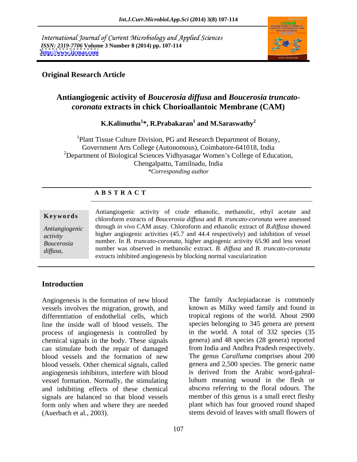International Journal of Current Microbiology and Applied Sciences *ISSN: 2319-7706* **Volume 3 Number 8 (2014) pp. 107-114 <http://www.ijcmas.com>**



# **Original Research Article**

# **Antiangiogenic activity of** *Boucerosia diffusa* **and** *Boucerosia truncato coronata* **extracts in chick Chorioallantoic Membrane (CAM)**

 $\bold{K.Kalimuthu^1*}, \bold{R.Prabakaran^1}$  and  $\bold{M.Saraswathy^2}$ **and M.Saraswathy<sup>2</sup>**

<sup>1</sup>Plant Tissue Culture Division, PG and Research Department of Botany, Government Arts College (Autonomous), Coimbatore-641018, India <sup>2</sup>Department of Biological Sciences Vidhyasagar Women's College of Education, Chengalpattu, Tamilnadu, India *\*Corresponding author* 

# **A B S T R A C T**

### **Keywords** chloroform extracts of *Boucerosia diffusa* and *B. truncato-coronata* were assessed *Antiangiogenic*  through *in vivo* CAM assay. Chloroform and ethanolic extract of *B.diffusa* showed *activity* higher angiogenic activities (45.7 and 44.4 respectively) and inhibition of vessel *Boucerosia*  number. In *B. truncato-coronata,* higher angiogenic activity 65.90 and less vessel **Example 5** Antiangiogenic activity of crude ethanolic, methanolic, ethyl acetate and chloroform extracts of *Boucerosia diffusa* and *B. truncato-coronata* were assessed through *in vivo* CAM assay. Chloroform and ethanol number was observed in methanolic extract. B. diffusa and B. truncato-coronata extracts inhibited angiogenesis by blocking normal vascularization

### **Introduction**

Angiogenesis is the formation of new blood vessels involves the migration, growth, and differentiation of endothelial cells, which line the inside wall of blood vessels. The process of angiogenesis is controlled by chemical signals in the body. These signals can stimulate both the repair of damaged blood vessels and the formation of new The genus *Caralluma* comprises about 200 blood vessels. Other chemical signals, called angiogenesis inhibitors, interfere with blood is derived from the Arabic word-gahralvessel formation. Normally, the stimulating and inhibiting effects of these chemical signals are balanced so that blood vessels form only when and where they are needed (Auerbach et al., 2003). stems devoid of leaves with small flowers of

The family Asclepiadaceae is commonly known as Milky weed family and found in tropical regions of the world. About 2900 species belonging to 345 genera are present in the world. A total of 332 species (35 genera) and 48 species (28 genera) reported from India and Andhra Pradesh respectively. genera and 2,500 species. The generic name luhum meaning wound in the flesh or abscess referring to the floral odours. The member of this genus is a small erect fleshy plant which has four grooved round shaped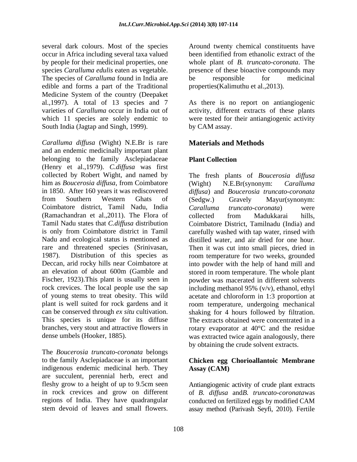several dark colours. Most of the species around twenty chemical constituents have occur in Africa including several taxa valued by people for their medicinal properties, one species *Caralluma edulis* eaten as vegetable. presence of these bioactive compounds may The species of *Caralluma* found in India are be responsible for medicinal edible and forms a part of the Traditional Medicine System of the country (Deepaket al.,1997). A total of 13 species and 7 As there is no report on antiangiogenic varieties of *Caralluma* occur in India out of activity, different extracts of these plants which 11 species are solely endemic to were tested for their antiangiogenic activity South India (Jagtap and Singh, 1999).

*Caralluma dif usa* (Wight) N.E.Br is rare and an endemic medicinally important plant belonging to the family Asclepiadaceae Plant Collection (Henry et al.,1979). *C.diffusa* was first collected by Robert Wight, and named by The fresh plants of *Boucerosia diffusa* him as *Boucerosia diffusa*, from Coimbatore (Wight) N.E.Br(synonym: *Caralluma*<br>in 1850. After 160 years it was rediscovered *diffusa*) and *Boucerosia truncato-coronata* in 1850. After 160 years it was rediscovered *diffusa*) and *Boucerosia truncato-coronata* from Southern Western Ghats of Coimbatore district, Tamil Nadu, India (Ramachandran et al.,2011). The Flora of Tamil Nadu states that *C.diffusa* distribution Coimbatore District, Tamilnadu (India) and is only from Coimbatore district in Tamil carefully washed with tap water, rinsed with Nadu and ecological status is mentioned as distilled water, and air dried for one hour. rare and threatened species (Srinivasan, Then it was cut into small pieces, dried in 1987). Distribution of this species as room temperature for two weeks, grounded Deccan, arid rocky hills near Coimbatore at into powder with the help of hand mill and an elevation of about 600m (Gamble and stored in room temperature. Thewhole plant Fischer, 1923).This plant is usually seen in powder was macerated in different solvents rock crevices. The local people use the sap including methanol 95% (v/v), ethanol, ethyl of young stems to treat obesity. This wild acetate and chloroform in 1:3 proportion at plant is well suited for rock gardens and it room temperature, undergoing mechanical can be conserved through *ex situ* cultivation. shaking for 4 hours followed by filtration. This species is unique for its diffuse The extracts obtained were concentrated in a branches, very stout and attractive flowers in rotary evaporator at 40°C and the residue several dark columbing variety of the species and twenty chemical constituents have proposed from the constrained proposition of the proposed constituents and the microsoft-constituents of the microsoft constituents of th

The *Boucerosia truncato-coronata* belongs to the family Asclepiadaceae is an important **Chicken egg Chorioallantoic Membrane** indigenous endemic medicinal herb. They **Assay (CAM)** are succulent, perennial herb, erect and fleshy grow to a height of up to 9.5cm seen Antiangiogenic activity of crude plant extracts in rock crevices and grow on different of *B. dif usa* and*B. truncato-coronata*was regions of India. They have quadrangular conducted on fertilized eggs by modified CAM

been identified from ethanolic extract of the whole plant of *B. truncato-coronata*. The be responsible for medicinal properties(Kalimuthu et al.,2013).

by CAM assay.

# **Materials and Methods**

# **Plant Collection**

dense umbels (Hooker, 1885). was extracted twice again analogously, there (Wight) N.E.Br(synonym: *Caralluma*  (Sedgw.) Gravely Mayur(synonym: *Caralluma truncato-coronata*) were collected from Madukkarai hills, by obtaining the crude solvent extracts.

# **Assay (CAM)**

assay method (Parivash Seyfi, 2010). Fertile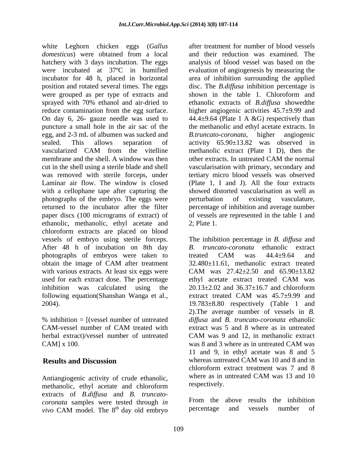white Leghorn chicken eggs (*Gallus domesticus*) were obtained from a local hatchery with 3 days incubation. The eggs analysis of blood vessel was based on the were incubated at 37ºC in humified evaluation of angiogenesis by measuring the incubator for 48 h, placed in horizontal area of inhibition surrounding the applied position and rotated several times. The eggs disc. The *B.diffusa* inhibition percentage is were grouped as per type of extracts and shown in the table 1. Chloroform and sprayed with 70% ethanol and air-dried to reduce contamination from the egg surface. higher angiogenic activities  $45.7\pm9.99$  and On day 6, 26- gauze needle was used to 44.4±9.64 (Plate 1 A &G) respectively than puncture a small hole in the air sac of the egg, and 2-3 mL of albumen was sucked and B.truncato-coronata, higher angiogenic sealed. This allows separation of activity 65.90±13.82 was observed in vascularized CAM from the vitelline methanolic extract (Plate 1 D), then the membrane and the shell. A window was then other extracts. In untreated CAM the normal cut in the shell using a sterile blade and shell vascularisation with primary, secondary and was removed with sterile forceps, under tertiary micro blood vessels was observed Laminar air flow. The window is closed (Plate 1, I and J). All the four extracts with a cellophane tape after capturing the showed distorted vascularisation as well as photographs of the embryo. The eggs were perturbation of existing vasculature, returned to the incubator after the filter percentage of inhibition and average number paper discs (100 micrograms of extract) of of vessels are represented in the table 1 and ethanolic, methanolic, ethyl acetate and 2; Plate 1. chloroform extracts are placed on blood vessels of embryo using sterile forceps. The inhibition percentage in *B. diffusa* and After 48 h of incubation on 8th day B. truncato-coronata ethanolic extract photographs of embryos were taken to treated CAM was  $44.4\pm9.64$  and obtain the image of CAM after treatment 32.480±11.61, methanolic extract treated with various extracts. At least six eggs were CAM was 27.42±2.50 and 65.90±13.82 used for each extract dose. The percentage ethyl acetate extract treated CAM was inhibition was calculated using the  $20.13 \pm 2.02$  and  $36.37 \pm 16.7$  and chloroform following equation(Shanshan Wanga et al., extract treated CAM was 45.7 $\pm$ 9.99 and

herbal extract)/vessel number of untreated CAM was 9 and 12, in methanolic extract CAM] x 100. CAM was 8 and 3 where as in untreated CAM was

methanolic, ethyl acetate and chloroform extracts of *B.diffusa* and *B. truncato coronata* samples were tested through *in* **EVALUATE EXAMPLE 10** From the above results the inhibition vive CAM model The s<sup>th</sup> day old ombrue the percentage and vessels number of *vivo* CAM model. The 8<sup>th</sup> day old embryo

after treatment for number of blood vessels and their reduction was examined. The shown in the table 1. Chloroform and ethanolic extracts of *B.diffusa* showedthe the methanolic and ethyl acetate extracts. In *B.truncato-coronata,* higher angiogenic methanolic extract (Plate 1 D), then the other extracts. In untreated CAM the normal perturbation of existing vasculature, 2; Plate 1.

2004). 19.783±8.80 respectively (Table 1 and % inhibition = [(vessel number of untreated *diffusa* and *B. truncato-coronata* ethanolic CAM-vessel number of CAM treated with extract was 5 and 8 where as in untreated **Results and Discussion** whereas untreated CAM was 10 and 8 and in Antiangiogenic activity of crude ethanolic,<br>methanolic ethyl acetate and chloroform respectively. *B. truncato-coronata* ethanolic extract treated CAM was  $44.4 \pm 9.64$  and 32.480±11.61, methanolic extract treated ethyl acetate extract treated CAM was 20.13±2.02 and 36.37±16.7 and chloroform extract treated CAM was 45.7±9.99 and 2).The average number of vessels in *B.*  extract was 5 and 8 where as in untreated CAM was 9 and 12, in methanolic extract was 8 and 3 where as in untreated CAM was 11 and 9, in ethyl acetate was 8 and 5 chloroform extract treatment was 7 and 8 where as in untreated CAM was 13 and 10 respectively.

<sup>th</sup> day old embryo percentage and vessels number of From the above results the inhibition percentage and vessels number of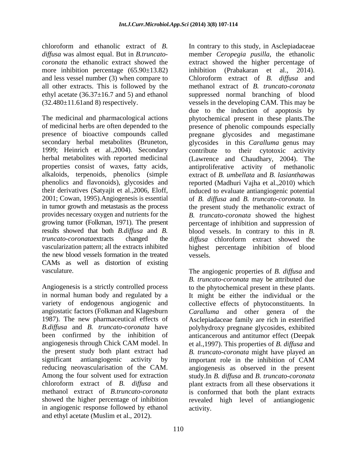more inhibition percentage (65.90±13.82) inhibition (Prabakaran et al., 2014). and less vessel number (3) when compare to Chloroform extract of B. diffusa and all other extracts. This is followed by the

1999; Heinrich et al., 2004). Secondary contribute to their cytotoxic activity the new blood vessels formation in the treated CAMs as well as distortion of existing

Angiogenesis is a strictly controlled process to the phytochemical present in these plants. in normal human body and regulated by a It might be either the individual or the variety of endogenous angiogenic and collective effects of phytoconstituents. In angiostatic factors (Folkman and Klagesburn Caralluma and other genera of the 1987). The new pharmaceutical effects of Asclepiadaceae family are rich in esterified *B.diffusa* and *B. truncato-coronata* have polyhydroxy pregnane glycosides, exhibited been confirmed by the inhibition of anticancerous and antitumor effect (Deepak angiogenesis through Chick CAM model. In et al.,1997). This properties of *B. diffusa* and the present study both plant extract had *B. truncato-coronata* might have played an significant antiangiogenic activity by important role in the inhibition of CAM reducing neovascularisation of the CAM. angiogenesis as observed in the present Among the four solvent used for extraction study.In *B. diffusa* and *B. truncato-coronata* chloroform extract of *B. diffusa* and plant extracts from all these observations it methanol extract of *B.truncato-coronata*  is conformed that both the plant extracts showed the higher percentage of inhibition revealed high level of antiangiogenic in angiogenic response followed by ethanol and ethyl acetate (Muslim et al., 2012).

chloroform and ethanolic extract of *B.*  In contrary to this study, in Asclepiadaceae *diffusa* was almost equal. But in *B.truncato-* member *Ceropegia pusilla,* the ethanolic *coronata* the ethanolic extract showed the extract showed the higher percentage of ethyl acetate (36.37±16.7 and 5) and ethanol suppressed normal branching of blood (32.480±11.61and 8) respectively. vessels in the developing CAM. This may be The medicinal and pharmacological actions phytochemical present in these plants.The of medicinal herbs are often depended to the presence of phenolic compounds especially presence of bioactive compounds called pregnane glycosides and megastimane secondary herbal metabolites (Bruneton, glycosides in this *Caralluma* genus may herbal metabolites with reported medicinal (Lawrence and Chaudhary, 2004). The properties consist of waxes, fatty acids, antiproliferative activity of methanolic alkaloids, terpenoids, phenolics (simple extract of *B. umbellata* and *B. lasiantha*was phenolics and flavonoids), glycosides and reported (Madhuri Vajha et al.,2010) which their derivatives (Satyajit et al.,2006, Eloff, induced to evaluate antiangiogenic potential 2001; Cowan, 1995).Angiogenesis is essential of *B. dif usa* and *B. truncato-coronata.* In in tumor growth and metastasis as the process the present study the methanolic extract of provides necessary oxygen and nutrients for the *B. truncato-coronata* showed the highest growing tumor (Folkman, 1971). The present percentage of inhibition and suppression of results showed that both *B.diffusa* and *B.* blood vessels. In contrary to this in *B. truncato-coronata*extracts changed the *diffusa* chloroform extract showed the vascularization pattern; all the extracts inhibited highest percentage inhibition of blood inhibition (Prabakaran et al., Chloroform extract of *B. dif usa* and methanol extract of *B. truncato-coronata* due to the induction of apoptosis by contribute to their cytotoxic activity vessels.

vasculature. The angiogenic properties of *B. diffusa* and *B. truncato-coronata* may be attributed due *Caralluma* and other genera of important role in the inhibition of CAM activity.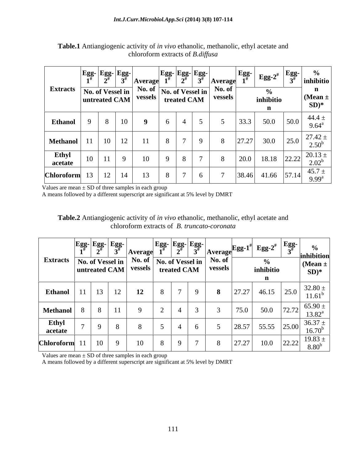|                           | $\left  \text{Egg-} \text{Egg-} \right $<br>$\mathbf{\Delta}^{\text{H}}$ | <b>Average</b> | $\left  \text{Egg-} \text{Egg-} \right $<br>$\overline{a}$                                                                                                                                                                                                                                 | Average | $\mathbb{E}_{\mathbf{g}\mathbf{g}\text{-}\mathbf{g}'}$ $\mathbb{E}_{\mathbf{g}\mathbf{g}\text{-}\mathbf{g}'}$ $\mathbb{E}_{\mathbf{g}\mathbf{g}\text{-}\mathbf{g}'}$ |      | inhibitio                 |
|---------------------------|--------------------------------------------------------------------------|----------------|--------------------------------------------------------------------------------------------------------------------------------------------------------------------------------------------------------------------------------------------------------------------------------------------|---------|----------------------------------------------------------------------------------------------------------------------------------------------------------------------|------|---------------------------|
| Extracts No. of Vessel in |                                                                          |                | $\frac{1}{\pi}$ No. of Vessel in No. of $\frac{1}{\pi}$ No. of $\frac{1}{\pi}$ No. of $\frac{1}{\pi}$ No. of $\frac{1}{\pi}$ No. of $\frac{1}{\pi}$ No. of $\frac{1}{\pi}$ No. of $\frac{1}{\pi}$ No. of $\frac{1}{\pi}$ $\frac{1}{\pi}$ No. of $\frac{1}{\pi}$ $\frac{1}{\pi}$ No. of $\$ |         | inhibitio                                                                                                                                                            |      | $\vert$ (Mean $\pm$       |
|                           |                                                                          |                |                                                                                                                                                                                                                                                                                            |         |                                                                                                                                                                      |      | $SD)*$                    |
| <b>Ethanol</b>            |                                                                          |                |                                                                                                                                                                                                                                                                                            |         | 50.0<br>$\cap$ $\cap$                                                                                                                                                | 50.0 | -44.4<br>$9.64^{\circ}$   |
| Methanol 11               | 10<br>$\perp$                                                            |                |                                                                                                                                                                                                                                                                                            |         | 30.0<br>27.27                                                                                                                                                        |      | 27.42<br>$\gamma$ 50      |
| Ethyl<br>acetate          |                                                                          |                |                                                                                                                                                                                                                                                                                            |         | 18.18 22.22 $^{20.13}_{2.02}$<br>200                                                                                                                                 |      |                           |
| <b>Chloroform</b>         | $\perp$                                                                  |                |                                                                                                                                                                                                                                                                                            |         | $ 38.46 $ 41.66 $ 57.14 $                                                                                                                                            |      | 45.7<br>$9.99^{\text{a}}$ |

**Table.1** Antiangiogenic activity of *in vivo* ethanolic, methanolic, ethyl acetate and chloroform extracts of *B.diffusa*

Values are mean  $\pm$  SD of three samples in each group

A means followed by a different superscript are significant at 5% level by DMRT

| Table.2 Antiangiogenic activity of in vivo ethanolic, methanolic, ethyl acetate and |  |
|-------------------------------------------------------------------------------------|--|
| B. truncato-coronata<br>oform extracts of<br>лпот                                   |  |

Values are mean  $\pm$  SD of three samples in each group

A means followed by a different superscript are significant at 5% level by DMRT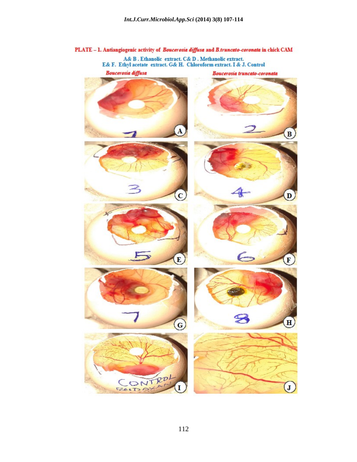PLATE - 1. Antiangiogenic activity of Boucerosia diffusa and B.truncato-coronata in chick CAM  $\label{eq:1} \begin{array}{ll} \text{A& B. Ethanolic extract. } \text{C& D. Methanolic extract.} \\ \text{E& F. Ethyl acetate extract. } \text{G& H. Chloroform extract. I& J. Control} \end{array}$ **Boucerosia** diffusa Boucerosia truncato-coronata  $\overline{\mathbf{A}}$  $\left( \mathbf{B}\right)$  $\left( \mathbf{D}\right)$  $\overline{\mathbf{c}}$  $\rightarrow$  $\left(\mathbf{E}\right)$ E  $H$  $\overline{G}$ po CON T  $\mathbf{J}$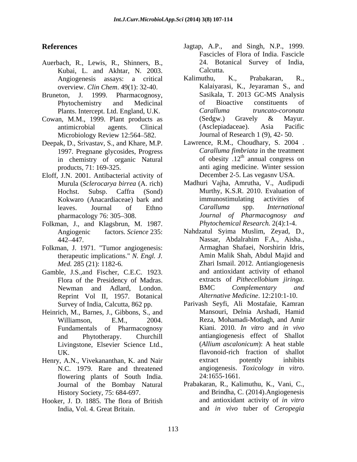- Auerbach, R., Lewis, R., Shinners, B., Kubai, L. and Akhtar, N. 2003.
- 
- Cowan, M.M., 1999. Plant products as (Sedgw.) Gravely & Mayur. Microbiology Review 12:564–582.
- Deepak, D., Srivastav, S., and Khare, M.P. 1997. Pregnane glycosides, Progress in chemistry of organic Natural
- Eloff, J.N. 2001. Antibacterial activity of
- Folkman, J., and Klagsbrun, M. 1987.
- Folkman, J. 1971. "Tumor angiogenesis: therapeutic implications." *N. Engl. J.*
- Gamble, J.S.,and Fischer, C.E.C. 1923. and antioxidant activity of ethanol<br>Flora of the Presidency of Madras. extracts of *Pithecellobium jiringa*. Flora of the Presidency of Madras. extracts of *Pithecellobium*<br>Newman and Adlard. London. BMC *Complementary* Reprint Vol II, 1957. Botanical
- Heinrich, M., Barnes, J., Gibbons, S., and Fundamentals of Pharmacognosy
- flowering plants of South India. 24:1655-1661. History Society, 75: 684-697.
- Hooker, J. D. 1885. The flora of British
- **References** Jagtap, A.P., and Singh, N.P., 1999. Jagtap, A.P., and Singh, N.P., 1999. Fascicles of Flora of India. Fascicle 24. Botanical Survey of India, Calcutta.
- Angiogenesis assays: a critical overview. *Clin Chem*. 49(1): 32-40. Kalaiyarasi, K., Jeyaraman S., and Bruneton, J. 1999. Pharmacognosy, Sasikala, T. 2013 GC-MS Analysis Phytochemistry and Medicinal of Bioactive constituents of Plants. Intercept. Ltd. England, U.K. Caralluma truncato-coronata antimicrobial agents. Clinical Kalimuthu, K., Prabakaran, R., of Bioactive constituents of *Caralluma truncato-coronata*  (Sedgw.) Gravely & Mayur. (Asclepiadaceae). Asia Pacific Journal of Research 1 (9), 42- 50.
	- products, 71: 169-325. anti aging medicine. Winter session Lawrence, R.M., Choudhary, S. 2004 . *Caralluma fimbriata* in the treatment of obesity  $.12<sup>th</sup>$  annual congress on annual congress on December 2-5. Las vegasnv USA.
	- Murula (*Sclerocarya birrea* (A. rich) Madhuri Vajha, Amrutha, V., Audipudi Hochst. Subsp. Caffra (Sond) Murthy, K.S.R. 2010. Evaluation of Kokwaro (Anacardiaceae) bark and immunostimulating activities of leaves. Journal of Ethno Caralluma spp. *International* leaves. Journal of Ethno *Caralluma* spp. *International* pharmacology 76: 305 308. *Journal of Pharmacognosy and* immunostimulating activities of *Caralluma* spp. *International Phytochemical Research.* 2(4):1-4.
	- Angiogenic factors. *Science* 235: Nahdzatul Syima Muslim, Zeyad, D., 442–447. Nassar, Abdalrahim F.A., Aisha., *Med.* 285 (21): 1182-6. Zhari Ismail. 2012. Antiangiogenesis Newman and Adlard, London. BMC Complementary and Nassar, Abdalrahim F.A., Aisha., Armaghan Shafaei, Norshirin Idris, Amin Malik Shah, Abdul Majid and and antioxidant activity of ethanol extracts of *Pithecellobium jiringa.* BMC *Complementary and Alternative Medicine*. 12:210:1-10.
- Survey of India, Calcutta, 862 pp. Parivash Seyfi, Ali Mostafaie, Kamran Williamson, E.M., 2004. Reza, Mohamadi-Motlagh, and Amir and Phytotherapy. Churchill antiangiogenesis effect of Shallot Livingstone, Elsevier Science Ltd., (Allium ascalonicum): A heat stable UK. flavonoid-rich fraction of shallot Henry, A.N., Vivekananthan, K. and Nair N.C. 1979. Rare and threatened angiogenesis. Toxicology in vitro. Mansouri, Delnia Arshadi, Hamid Kiani. 2010. *In vitro* and *in vivo* (*Allium ascalonicum*): A heat stable extract potently inhibits angiogenesis. *Toxicology in vitro*. 24:1655-1661.
	- Journal of the Bombay Natural Prabakaran, R., Kalimuthu, K., Vani, C., India, Vol. 4. Great Britain. and *in vivo* tuber of *Ceropegia* and Brindha, C. (2014).Angiogenesis and antioxidant activity of *in vitro*